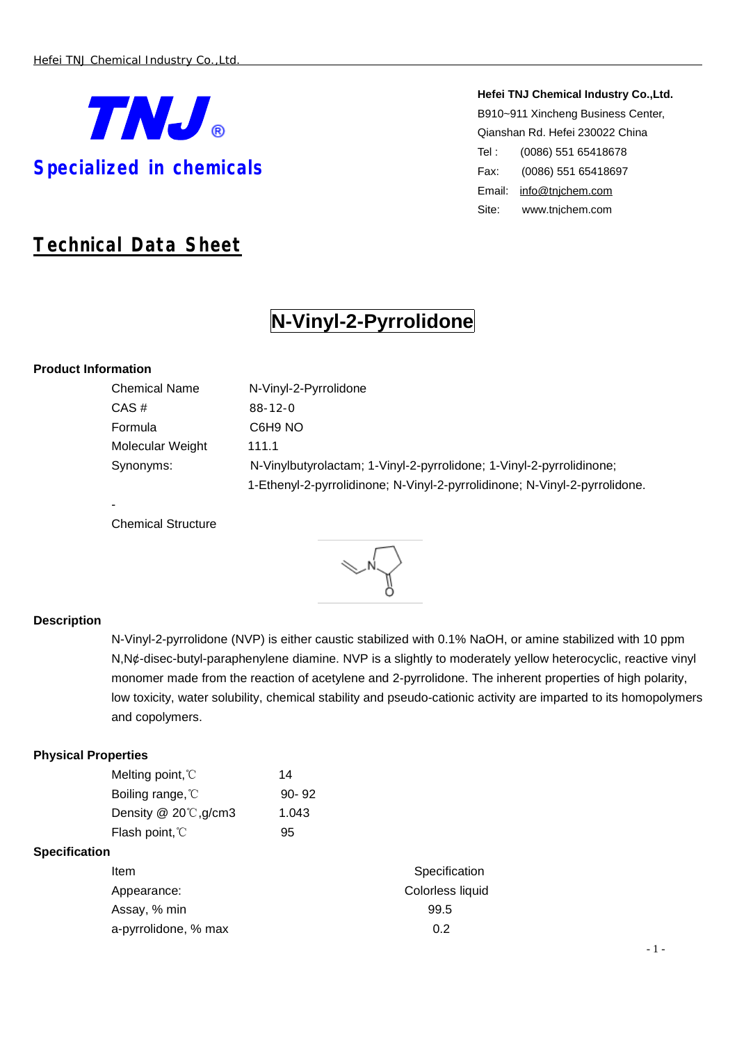

# *Technical Data Sheet*

#### **Hefei TNJ Chemical Industry Co.,Ltd.**

B910~911 Xincheng Business Center, Qianshan Rd. Hefei 230022 China Tel : (0086) 551 65418678 Fax: (0086) 551 65418697 Email: [info@tnjchem.com](mailto:info@tnjchem.com) Site: [www.tnjchem.com](http://www.tnjchem.com)

# **N-Vinyl-2-Pyrrolidone**

### **Product Information**

-

| N-Vinyl-2-Pyrrolidone                                                      |
|----------------------------------------------------------------------------|
| $88-12-0$                                                                  |
| C6H9 NO                                                                    |
| 111.1                                                                      |
| N-Vinylbutyrolactam; 1-Vinyl-2-pyrrolidone; 1-Vinyl-2-pyrrolidinone;       |
| 1-Ethenyl-2-pyrrolidinone; N-Vinyl-2-pyrrolidinone; N-Vinyl-2-pyrrolidone. |
|                                                                            |

Chemical Structure

## **Description**

N-Vinyl-2-pyrrolidone (NVP) is either caustic stabilized with 0.1% NaOH, or amine stabilized with 10 ppm N,N¢-disec-butyl-paraphenylene diamine. NVP is a slightly to moderately yellow heterocyclic, reactive vinyl monomer made from the reaction of acetylene and 2-pyrrolidone. The inherent properties of high polarity, low toxicity, water solubility, chemical stability and pseudo-cationic activity are imparted to its homopolymers and copolymers.

#### **Physical Properties**

|                      | Melting point, °C           | 14    |                  |
|----------------------|-----------------------------|-------|------------------|
|                      | Boiling range, C            | 90-92 |                  |
|                      | Density $@$ 20 $°C$ , g/cm3 | 1.043 |                  |
|                      | Flash point, °C             | 95    |                  |
| <b>Specification</b> |                             |       |                  |
|                      | Item                        |       | Specification    |
|                      | Appearance:                 |       | Colorless liquid |
|                      | Assay, % min                |       | 99.5             |
|                      | a-pyrrolidone, % max        |       | 0.2              |